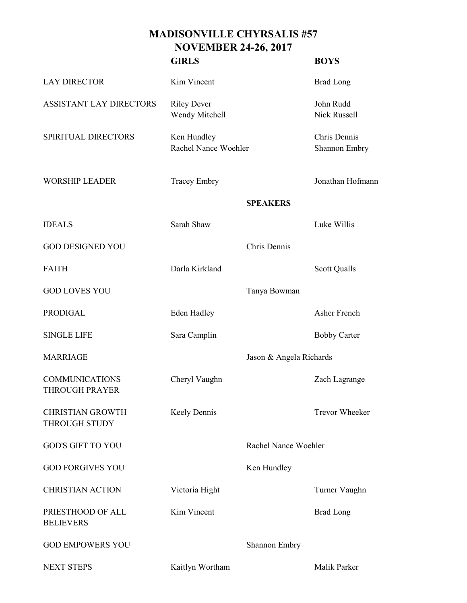## **MADISONVILLE CHYRSALIS #57 NOVEMBER 24-26, 2017**

|                                                 | <b>GIRLS</b>                         |                         | <b>BOYS</b>                      |
|-------------------------------------------------|--------------------------------------|-------------------------|----------------------------------|
| <b>LAY DIRECTOR</b>                             | Kim Vincent                          |                         | <b>Brad Long</b>                 |
| <b>ASSISTANT LAY DIRECTORS</b>                  | <b>Riley Dever</b><br>Wendy Mitchell |                         | John Rudd<br><b>Nick Russell</b> |
| SPIRITUAL DIRECTORS                             | Ken Hundley<br>Rachel Nance Woehler  |                         | Chris Dennis<br>Shannon Embry    |
| <b>WORSHIP LEADER</b>                           | <b>Tracey Embry</b>                  |                         | Jonathan Hofmann                 |
|                                                 |                                      | <b>SPEAKERS</b>         |                                  |
| <b>IDEALS</b>                                   | Sarah Shaw                           |                         | Luke Willis                      |
| <b>GOD DESIGNED YOU</b>                         |                                      | Chris Dennis            |                                  |
| <b>FAITH</b>                                    | Darla Kirkland                       |                         | <b>Scott Qualls</b>              |
| <b>GOD LOVES YOU</b>                            |                                      | Tanya Bowman            |                                  |
| <b>PRODIGAL</b>                                 | <b>Eden Hadley</b>                   |                         | Asher French                     |
| <b>SINGLE LIFE</b>                              | Sara Camplin                         |                         | <b>Bobby Carter</b>              |
| <b>MARRIAGE</b>                                 |                                      | Jason & Angela Richards |                                  |
| <b>COMMUNICATIONS</b><br><b>THROUGH PRAYER</b>  | Cheryl Vaughn                        |                         | Zach Lagrange                    |
| <b>CHRISTIAN GROWTH</b><br><b>THROUGH STUDY</b> | Keely Dennis                         |                         | <b>Trevor Wheeker</b>            |
| <b>GOD'S GIFT TO YOU</b>                        |                                      | Rachel Nance Woehler    |                                  |
| <b>GOD FORGIVES YOU</b>                         |                                      | Ken Hundley             |                                  |
| <b>CHRISTIAN ACTION</b>                         | Victoria Hight                       |                         | Turner Vaughn                    |
| PRIESTHOOD OF ALL<br><b>BELIEVERS</b>           | Kim Vincent                          |                         | <b>Brad Long</b>                 |
| <b>GOD EMPOWERS YOU</b>                         |                                      | Shannon Embry           |                                  |
| <b>NEXT STEPS</b>                               | Kaitlyn Wortham                      |                         | Malik Parker                     |